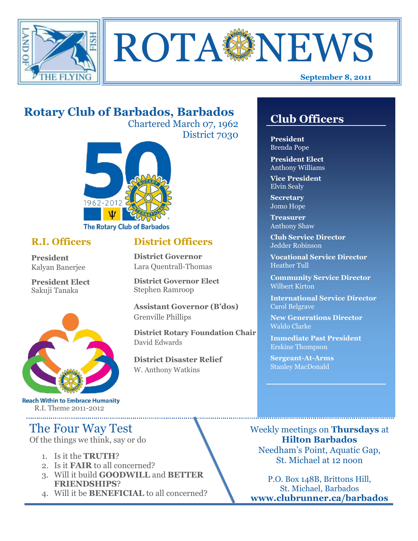



# **Rotary Club of Barbados, Barbados**

Chartered March 07, 1962 District 7030



### **R.I. Officers**

**President**  Kalyan Banerjee

**President Elect** Sakuji Tanaka



**Reach Within to Embrace Humanity** R.I. Theme 2011-2012

# The Four Way Test

Of the things we think, say or do

- 1. Is it the **TRUTH**?
- 2. Is it **FAIR** to all concerned?
- 3. Will it build **GOODWILL** and **BETTER FRIENDSHIPS**?
- 4. Will it be **BENEFICIAL** to all concerned?

# **Club Officers**

**Club Officers** 

**President** Brenda Pope

**President Elect** Anthony Williams

**Vice President** Elvin Sealy

**Secretary** Jomo Hope

**Treasurer** Anthony Shaw

**Club Service Director** Jedder Robinson

**Vocational Service Director** Heather Tull

**Community Service Director** Wilbert Kirton

**International Service Director** Carol Belgrave

**New Generations Director** Waldo Clarke

**Immediate Past President** Erskine Thompson

**Sergeant-At-Arms** Stanley MacDonald

Weekly meetings on **Thursdays** at **Hilton Barbados** Needham's Point, Aquatic Gap, St. Michael at 12 noon

P.O. Box 148B, Brittons Hill, St. Michael, Barbados **www.clubrunner.ca/barbados**

## **District Officers**

**District Governor** Lara Quentrall-Thomas

**District Governor Elect** Stephen Ramroop

**Assistant Governor (B'dos)** Grenville Phillips

**District Rotary Foundation Chair** David Edwards

**District Disaster Relief** W. Anthony Watkins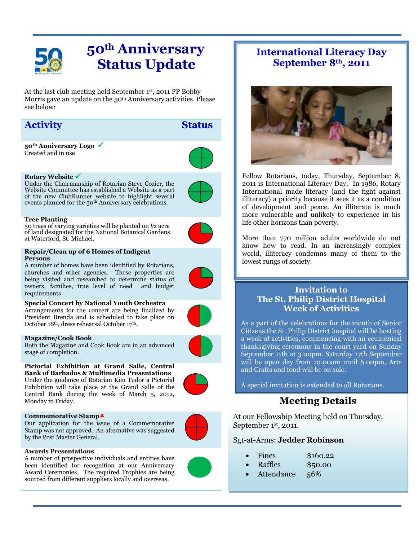

# **50th Anniversary Status Update**

At the last club meeting held September 1 st , 2011 PP Bobby Morris gave an update on the 50<sup>th</sup> Anniversary activities. Please see below:

## **Activity Status**

**50th Anniversary Logo**  Created and in use



Under the Chairmanship of Rotarian Steve Cozier, the Website Committee has established a Website as a part of the new ClubRunner website to highlight several events planned for the 50<sup>th</sup> Anniversary celebrations.



**Tree Planting** 50 trees of varying varieties will be planted on ½ acre of land designated for the National Botanical Gardens at Waterford, St. Michael.

#### **Repair/Clean up of 6 Homes of Indigent Persons**

A number of homes have been identified by Rotarians, churches and other agencies. These properties are being visited and researched to determine status of owners, families, true level of need and budget requirements

**Special Concert by National Youth Orchestra** Arrangements for the concert are being finalized by President Brenda and is scheduled to take place on October 18th, dress rehearsal October 17th.

#### **Magazine/Cook Book**

Both the Magazine and Cook Book are in an advanced stage of completion.

**Pictorial Exhibition at Grand Salle, Central Bank of Barbados & Multimedia Presentations**

Under the guidance of Rotarian Kim Tudor a Pictorial Exhibition will take place at the Grand Salle of the Central Bank during the week of March 5, 2012, Monday to Friday.

#### **Commemorative Stamp**

Our application for the issue of a Commemorative Stamp was not approved. An alternative was suggested by the Post Master General.



#### **Awards Presentations**

A number of prospective individuals and entities have been identified for recognition at our Anniversary Award Ceremonies. The required Trophies are being sourced from different suppliers locally and overseas.





Fellow Rotarians, today, Thursday, September 8, 2011 is International Literacy Day. In 1986, Rotary International made literacy (and the fight against illiteracy) a priority because it sees it as a condition of development and peace. An illiterate is much more vulnerable and unlikely to experience in his life other horizons than poverty.

More than 770 million adults worldwide do not know how to read. In an increasingly complex world, illiteracy condemns many of them to the lowest rungs of society.

### **Invitation to The St. Philip District Hospital Week of Activities**

As a part of the celebrations for the month of Senior Citizens the St. Philip District hospital will be hosting a week of activities, commencing with an ecumenical thanksgiving ceremony in the court yard on Sunday September 11th at 3.00pm. Saturday 17th September will be open day from 10.00am until 6.00pm, Arts and Crafts and food will be on sale.

A special invitation is extended to all Rotarians.

## **Meeting Details**

At our Fellowship Meeting held on Thursday, September 1st, 2011.

### Sgt-at-Arms: **Jedder Robinson**

- Fines \$160.22
- Raffles \$50.00
- Attendance 56%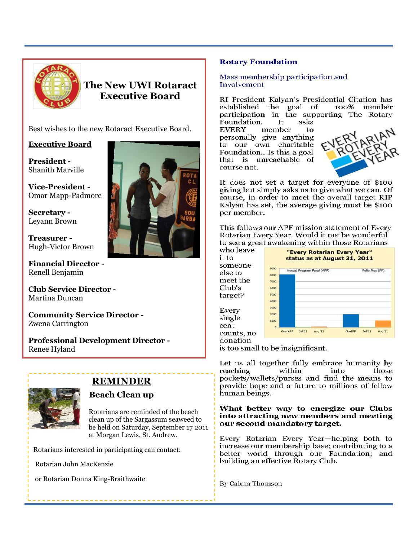

**The New UWI Rotaract Executive Board**

Best wishes to the new Rotaract Executive Board.

### **Executive Board**

**President -** Shanith Marville

**Vice-President -** Omar Mapp-Padmore

**Secretary -** Leyann Brown

**Treasurer -** Hugh-Victor Brown

**Financial Director -** Renell Benjamin

**Club Service Director -** Martina Duncan

**Community Service Director -** Zwena Carrington

**Professional Development Director -** Renee Hyland



## **REMINDER**

### **Beach Clean up**

Rotarians are reminded of the beach clean up of the Sargassum seaweed to be held on Saturday, September 17 2011 at Morgan Lewis, St. Andrew.

Rotarians interested in participating can contact:

Rotarian John MacKenzie

or Rotarian Donna King-Braithwaite



Mass membership participation and Involvement

RI President Kalvan's Presidential Citation has established the goal of 100% member participation in the supporting The Rotary Foundation.  $\mathbf{H}$ asks

**EVERY** member to personally give anything to our own charitable Foundation.. Is this a goal that is unreachable-of course not.



It does not set a target for everyone of \$100 giving but simply asks us to give what we can. Of course, in order to meet the overall target RIP Kalyan has set, the average giving must be \$100 per member.

This follows our APF mission statement of Every Rotarian Every Year. Would it not be wonderful to see a great awakening within those Rotarians

who leave it to someone else to meet the  $Club's$ target? Every single cent counts, no donation



is too small to be insignificant.

Let us all together fully embrace humanity by within into reaching those pockets/wallets/purses and find the means to provide hope and a future to millions of fellow human beings.

#### What better way to energize our Clubs into attracting new members and meeting our second mandatory target.

Every Rotarian Every Year-helping both to increase our membership base; contributing to a better world through our Foundation; and building an effective Rotary Club.

**By Calum Thomson**